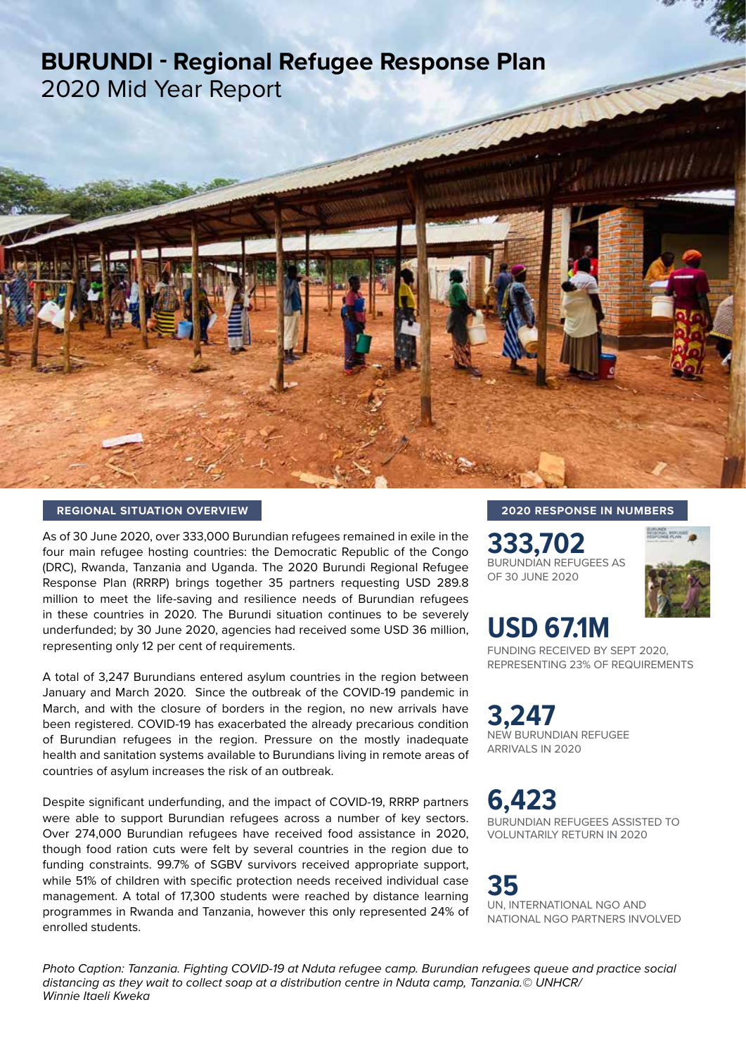# **BURUNDI - Regional Refugee Response Plan** 2020 Mid Year Report



As of 30 June 2020, over 333,000 Burundian refugees remained in exile in the four main refugee hosting countries: the Democratic Republic of the Congo (DRC), Rwanda, Tanzania and Uganda. The 2020 Burundi Regional Refugee Response Plan (RRRP) brings together 35 partners requesting USD 289.8 million to meet the life-saving and resilience needs of Burundian refugees in these countries in 2020. The Burundi situation continues to be severely underfunded; by 30 June 2020, agencies had received some USD 36 million, representing only 12 per cent of requirements.

A total of 3,247 Burundians entered asylum countries in the region between January and March 2020. Since the outbreak of the COVID-19 pandemic in March, and with the closure of borders in the region, no new arrivals have been registered. COVID-19 has exacerbated the already precarious condition of Burundian refugees in the region. Pressure on the mostly inadequate health and sanitation systems available to Burundians living in remote areas of countries of asylum increases the risk of an outbreak.

Despite significant underfunding, and the impact of COVID-19, RRRP partners were able to support Burundian refugees across a number of key sectors. Over 274,000 Burundian refugees have received food assistance in 2020, though food ration cuts were felt by several countries in the region due to funding constraints. 99.7% of SGBV survivors received appropriate support, while 51% of children with specific protection needs received individual case management. A total of 17,300 students were reached by distance learning programmes in Rwanda and Tanzania, however this only represented 24% of enrolled students.

#### **2020 RESPONSE IN NUMBERS**

**333,702**<br>BURUNDIAN REFUGEES AS OF 30 JUNE 2020



## **USD 67.1M**

FUNDING RECEIVED BY SEPT 2020, REPRESENTING 23% OF REQUIREMENTS

**3,247** NEW BURUNDIAN REFUGEE ARRIVALS IN 2020

**6,423** BURUNDIAN REFUGEES ASSISTED TO VOLUNTARILY RETURN IN 2020

**35** UN, INTERNATIONAL NGO AND NATIONAL NGO PARTNERS INVOLVED

*Photo Caption: Tanzania. Fighting COVID-19 at Nduta refugee camp. Burundian refugees queue and practice social distancing as they wait to collect soap at a distribution centre in Nduta camp, Tanzania.© UNHCR/ Winnie Itaeli Kweka*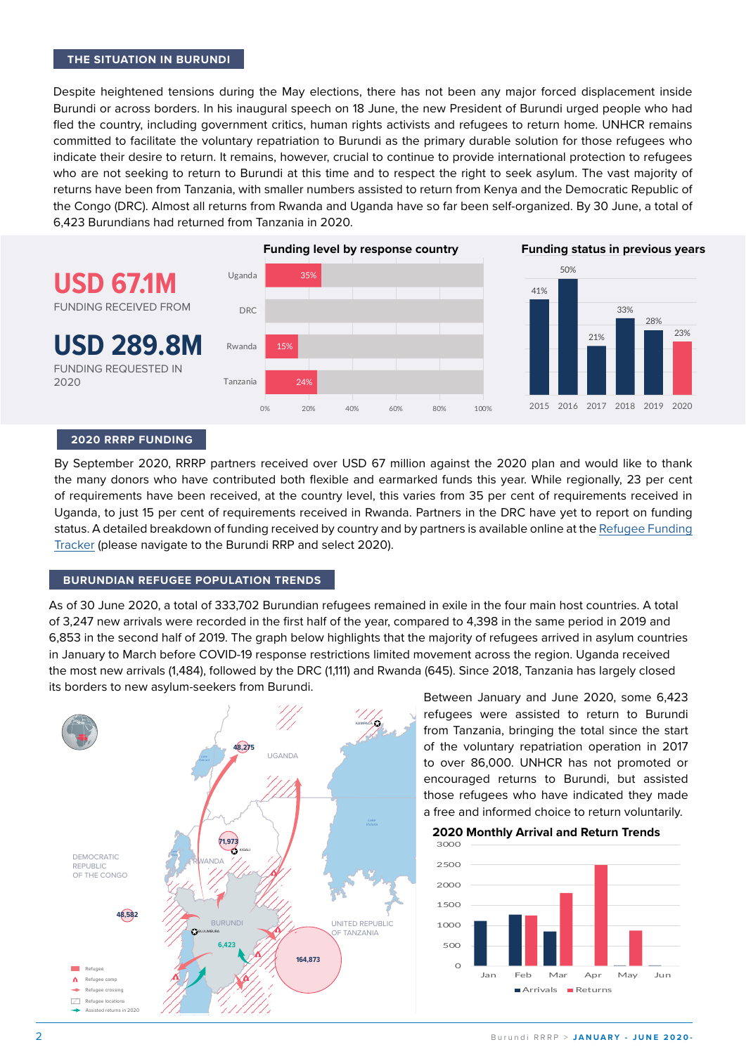#### **THE SITUATION IN BURUNDI**

Despite heightened tensions during the May elections, there has not been any major forced displacement inside Burundi or across borders. In his inaugural speech on 18 June, the new President of Burundi urged people who had fled the country, including government critics, human rights activists and refugees to return home. UNHCR remains committed to facilitate the voluntary repatriation to Burundi as the primary durable solution for those refugees who indicate their desire to return. It remains, however, crucial to continue to provide international protection to refugees who are not seeking to return to Burundi at this time and to respect the right to seek asylum. The vast majority of returns have been from Tanzania, with smaller numbers assisted to return from Kenya and the Democratic Republic of the Congo (DRC). Almost all returns from Rwanda and Uganda have so far been self-organized. By 30 June, a total of 6,423 Burundians had returned from Tanzania in 2020.



#### **2020 RRRP FUNDING**

By September 2020, RRRP partners received over USD 67 million against the 2020 plan and would like to thank the many donors who have contributed both flexible and earmarked funds this year. While regionally, 23 per cent of requirements have been received, at the country level, this varies from 35 per cent of requirements received in Uganda, to just 15 per cent of requirements received in Rwanda. Partners in the DRC have yet to report on funding status. A detailed breakdown of funding received by country and by partners is available online at the [Refugee Funding](http://refugee-funding-tracker.org)  [Tracker](http://refugee-funding-tracker.org) (please navigate to the Burundi RRP and select 2020).

#### **BURUNDIAN REFUGEE POPULATION TRENDS**

As of 30 June 2020, a total of 333,702 Burundian refugees remained in exile in the four main host countries. A total of 3,247 new arrivals were recorded in the first half of the year, compared to 4,398 in the same period in 2019 and 6,853 in the second half of 2019. The graph below highlights that the majority of refugees arrived in asylum countries in January to March before COVID-19 response restrictions limited movement across the region. Uganda received the most new arrivals (1,484), followed by the DRC (1,111) and Rwanda (645). Since 2018, Tanzania has largely closed its borders to new asylum-seekers from Burundi.



Between January and June 2020, some 6,423 refugees were assisted to return to Burundi from Tanzania, bringing the total since the start of the voluntary repatriation operation in 2017 to over 86,000. UNHCR has not promoted or encouraged returns to Burundi, but assisted those refugees who have indicated they made a free and informed choice to return voluntarily.

**2020 Monthly Arrival and Return Trends**

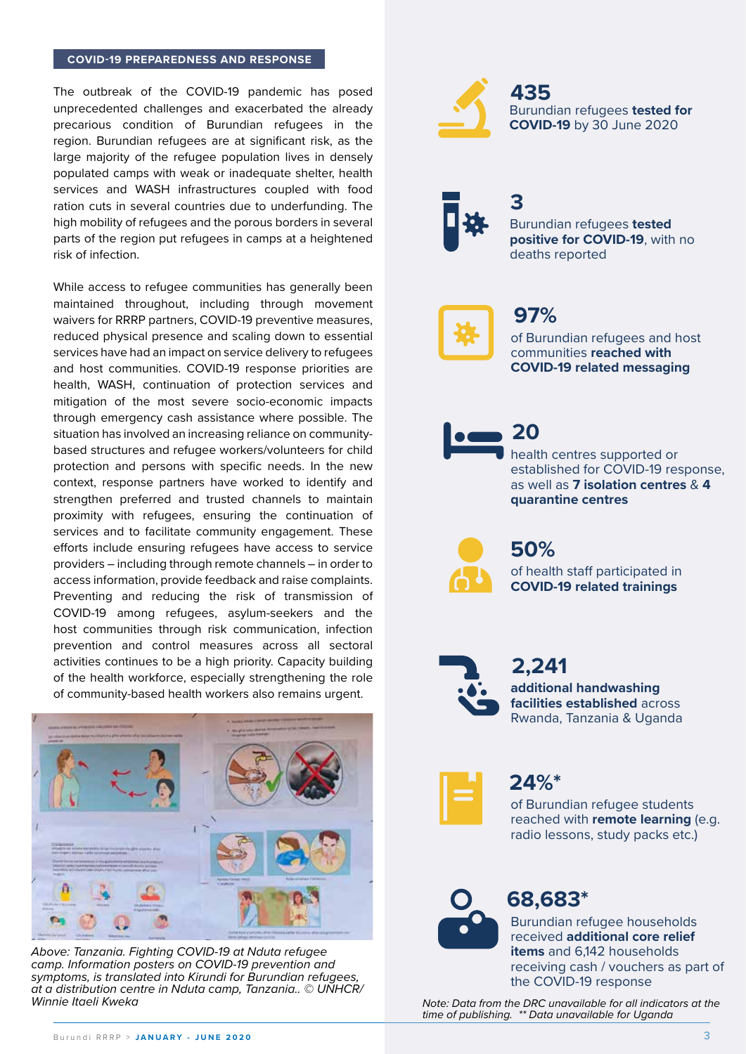#### **COVID-19 PREPAREDNESS AND RESPONSE**

The outbreak of the COVID-19 pandemic has posed unprecedented challenges and exacerbated the already precarious condition of Burundian refugees in the region. Burundian refugees are at significant risk, as the large majority of the refugee population lives in densely populated camps with weak or inadequate shelter, health services and WASH infrastructures coupled with food ration cuts in several countries due to underfunding. The high mobility of refugees and the porous borders in several parts of the region put refugees in camps at a heightened risk of infection.

While access to refugee communities has generally been maintained throughout, including through movement waivers for RRRP partners, COVID-19 preventive measures, reduced physical presence and scaling down to essential services have had an impact on service delivery to refugees and host communities. COVID-19 response priorities are health, WASH, continuation of protection services and mitigation of the most severe socio-economic impacts through emergency cash assistance where possible. The situation has involved an increasing reliance on communitybased structures and refugee workers/volunteers for child protection and persons with specific needs. In the new context, response partners have worked to identify and strengthen preferred and trusted channels to maintain proximity with refugees, ensuring the continuation of services and to facilitate community engagement. These efforts include ensuring refugees have access to service providers – including through remote channels – in order to access information, provide feedback and raise complaints. Preventing and reducing the risk of transmission of COVID-19 among refugees, asylum-seekers and the host communities through risk communication, infection prevention and control measures across all sectoral activities continues to be a high priority. Capacity building of the health workforce, especially strengthening the role of community-based health workers also remains urgent.



*Above: Tanzania. Fighting COVID-19 at Nduta refugee camp. Information posters on COVID-19 prevention and symptoms, is translated into Kirundi for Burundian refugees, at a distribution centre in Nduta camp, Tanzania.. © UNHCR/ Winnie Itaeli Kweka*



Burundian refugees **tested for COVID-19** by 30 June 2020 **435**



Burundian refugees **tested positive for COVID-19**, with no deaths reported **3**



### **97%**

of Burundian refugees and host communities **reached with COVID-19 related messaging**



health centres supported or established for COVID-19 response, as well as **7 isolation centres** & **4 quarantine centres**



of health staff participated in **COVID-19 related trainings 50%**



**additional handwashing facilities established** across Rwanda, Tanzania & Uganda **2,241**



**24%\***

of Burundian refugee students reached with **remote learning** (e.g. radio lessons, study packs etc.)



### **68,683\***

Burundian refugee households received **additional core relief items** and 6,142 households receiving cash / vouchers as part of the COVID-19 response

*Note: Data from the DRC unavailable for all indicators at the time of publishing. \*\* Data unavailable for Uganda*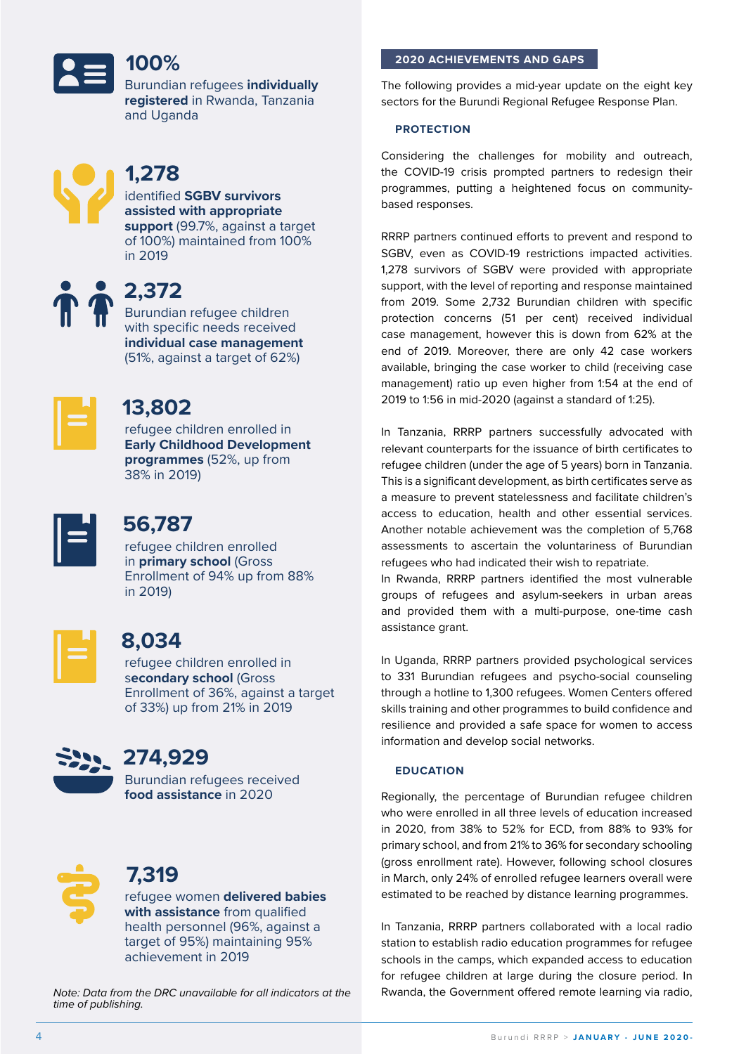### **100%**

Burundian refugees **individually registered** in Rwanda, Tanzania and Uganda



### **1,278**

identified **SGBV survivors assisted with appropriate support** (99.7%, against a target of 100%) maintained from 100% in 2019

**1** 2,372

Burundian refugee children with specific needs received **individual case management**  (51%, against a target of 62%)



### **13,802**

refugee children enrolled in **Early Childhood Development programmes** (52%, up from 38% in 2019)



### **56,787**

refugee children enrolled in **primary school** (Gross Enrollment of 94% up from 88% in 2019)



### **8,034**

refugee children enrolled in s**econdary school** (Gross Enrollment of 36%, against a target of 33%) up from 21% in 2019



### **274,929**

Burundian refugees received **food assistance** in 2020



### **7,319**

refugee women **delivered babies with assistance** from qualified health personnel (96%, against a target of 95%) maintaining 95% achievement in 2019

*Note: Data from the DRC unavailable for all indicators at the time of publishing.* 

### **2020 ACHIEVEMENTS AND GAPS**

The following provides a mid-year update on the eight key sectors for the Burundi Regional Refugee Response Plan.

#### **PROTECTION**

Considering the challenges for mobility and outreach, the COVID-19 crisis prompted partners to redesign their programmes, putting a heightened focus on communitybased responses.

RRRP partners continued efforts to prevent and respond to SGBV, even as COVID-19 restrictions impacted activities. 1,278 survivors of SGBV were provided with appropriate support, with the level of reporting and response maintained from 2019. Some 2,732 Burundian children with specific protection concerns (51 per cent) received individual case management, however this is down from 62% at the end of 2019. Moreover, there are only 42 case workers available, bringing the case worker to child (receiving case management) ratio up even higher from 1:54 at the end of 2019 to 1:56 in mid-2020 (against a standard of 1:25).

In Tanzania, RRRP partners successfully advocated with relevant counterparts for the issuance of birth certificates to refugee children (under the age of 5 years) born in Tanzania. This is a significant development, as birth certificates serve as a measure to prevent statelessness and facilitate children's access to education, health and other essential services. Another notable achievement was the completion of 5,768 assessments to ascertain the voluntariness of Burundian refugees who had indicated their wish to repatriate.

In Rwanda, RRRP partners identified the most vulnerable groups of refugees and asylum-seekers in urban areas and provided them with a multi-purpose, one-time cash assistance grant.

In Uganda, RRRP partners provided psychological services to 331 Burundian refugees and psycho-social counseling through a hotline to 1,300 refugees. Women Centers offered skills training and other programmes to build confidence and resilience and provided a safe space for women to access information and develop social networks.

#### **EDUCATION**

Regionally, the percentage of Burundian refugee children who were enrolled in all three levels of education increased in 2020, from 38% to 52% for ECD, from 88% to 93% for primary school, and from 21% to 36% for secondary schooling (gross enrollment rate). However, following school closures in March, only 24% of enrolled refugee learners overall were estimated to be reached by distance learning programmes.

In Tanzania, RRRP partners collaborated with a local radio station to establish radio education programmes for refugee schools in the camps, which expanded access to education for refugee children at large during the closure period. In Rwanda, the Government offered remote learning via radio,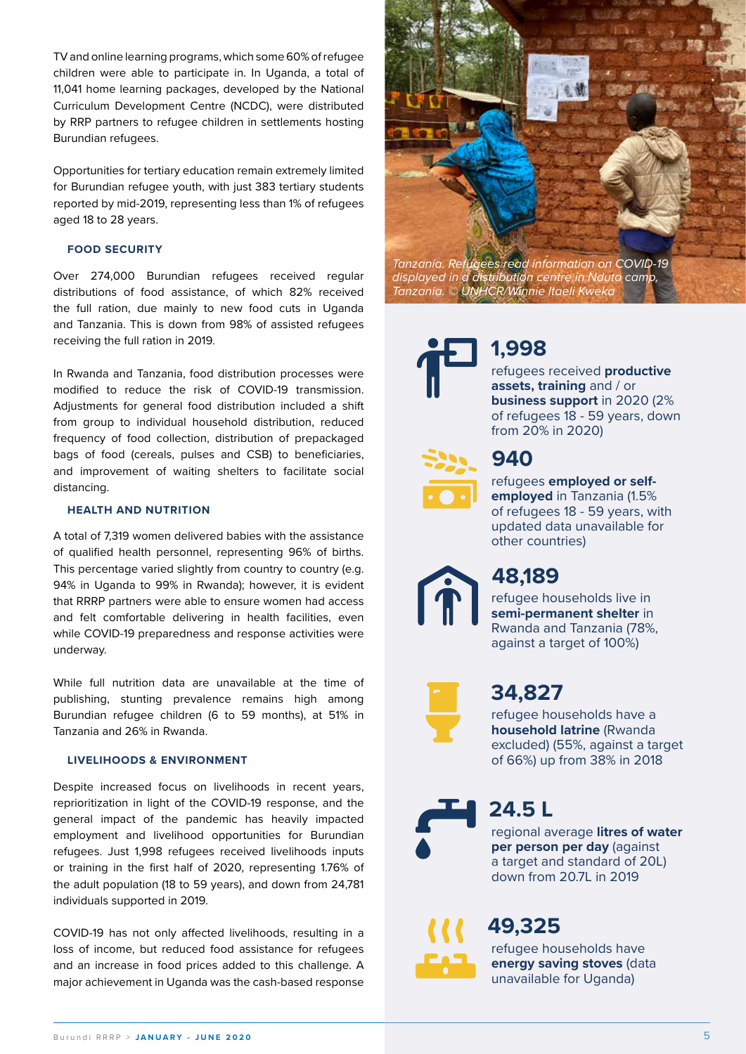TV and online learning programs, which some 60% of refugee children were able to participate in. In Uganda, a total of 11,041 home learning packages, developed by the National Curriculum Development Centre (NCDC), were distributed by RRP partners to refugee children in settlements hosting Burundian refugees.

Opportunities for tertiary education remain extremely limited for Burundian refugee youth, with just 383 tertiary students reported by mid-2019, representing less than 1% of refugees aged 18 to 28 years.

#### **FOOD SECURITY**

Over 274,000 Burundian refugees received regular distributions of food assistance, of which 82% received the full ration, due mainly to new food cuts in Uganda and Tanzania. This is down from 98% of assisted refugees receiving the full ration in 2019.

In Rwanda and Tanzania, food distribution processes were modified to reduce the risk of COVID-19 transmission. Adjustments for general food distribution included a shift from group to individual household distribution, reduced frequency of food collection, distribution of prepackaged bags of food (cereals, pulses and CSB) to beneficiaries, and improvement of waiting shelters to facilitate social distancing.

#### **HEALTH AND NUTRITION**

A total of 7,319 women delivered babies with the assistance of qualified health personnel, representing 96% of births. This percentage varied slightly from country to country (e.g. 94% in Uganda to 99% in Rwanda); however, it is evident that RRRP partners were able to ensure women had access and felt comfortable delivering in health facilities, even while COVID-19 preparedness and response activities were underway.

While full nutrition data are unavailable at the time of publishing, stunting prevalence remains high among Burundian refugee children (6 to 59 months), at 51% in Tanzania and 26% in Rwanda.

#### **LIVELIHOODS & ENVIRONMENT**

Despite increased focus on livelihoods in recent years, reprioritization in light of the COVID-19 response, and the general impact of the pandemic has heavily impacted employment and livelihood opportunities for Burundian refugees. Just 1,998 refugees received livelihoods inputs or training in the first half of 2020, representing 1.76% of the adult population (18 to 59 years), and down from 24,781 individuals supported in 2019.

COVID-19 has not only affected livelihoods, resulting in a loss of income, but reduced food assistance for refugees and an increase in food prices added to this challenge. A major achievement in Uganda was the cash-based response



*displayed in a distribution centre in Nduta camp, Tanzania. © UNHCR/Winnie Itaeli Kweka*



### **1,998**

refugees received **productive assets, training** and / or **business support** in 2020 (2% of refugees 18 - 59 years, down from 20% in 2020)



### **940**

refugees **employed or selfemployed** in Tanzania (1.5% of refugees 18 - 59 years, with updated data unavailable for other countries)

### **48,189**

refugee households live in **semi-permanent shelter** in Rwanda and Tanzania (78%, against a target of 100%)



### **34,827**

refugee households have a **household latrine** (Rwanda excluded) (55%, against a target of 66%) up from 38% in 2018

regional average **litres of water 24.5 L**

**per person per day** (against a target and standard of 20L) down from 20.7L in 2019



refugee households have **energy saving stoves** (data unavailable for Uganda)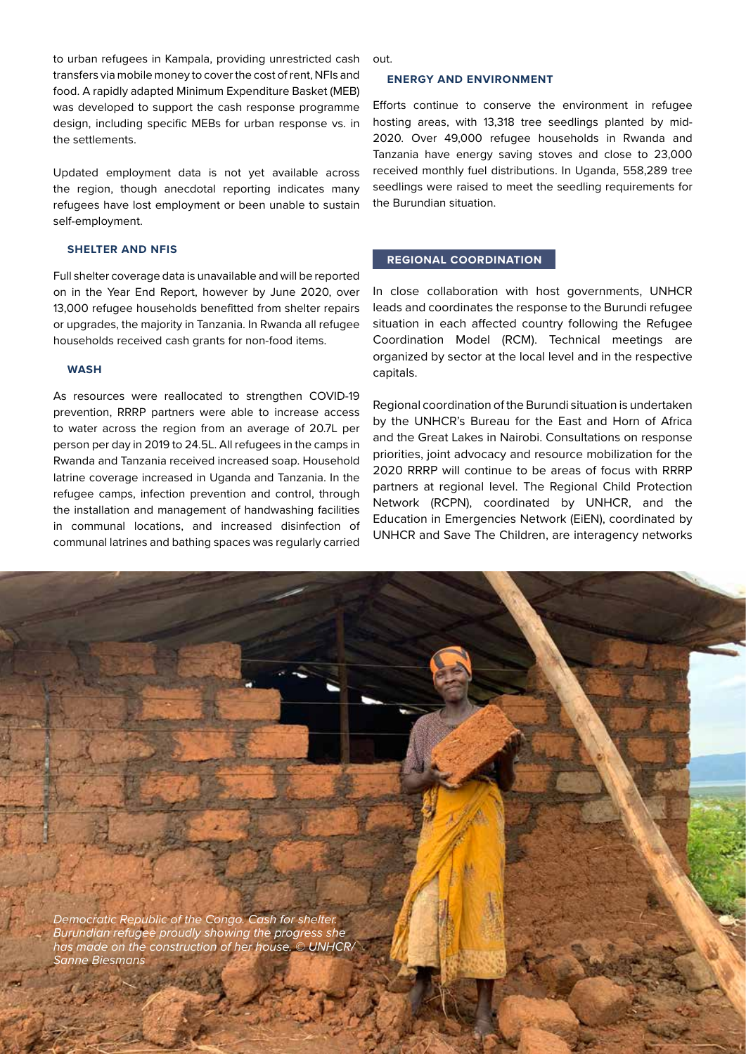to urban refugees in Kampala, providing unrestricted cash transfers via mobile money to cover the cost of rent, NFIs and food. A rapidly adapted Minimum Expenditure Basket (MEB) was developed to support the cash response programme design, including specific MEBs for urban response vs. in the settlements.

Updated employment data is not yet available across the region, though anecdotal reporting indicates many refugees have lost employment or been unable to sustain self-employment.

#### **SHELTER AND NFIS**

Full shelter coverage data is unavailable and will be reported on in the Year End Report, however by June 2020, over 13,000 refugee households benefitted from shelter repairs or upgrades, the majority in Tanzania. In Rwanda all refugee households received cash grants for non-food items.

#### **WASH**

As resources were reallocated to strengthen COVID-19 prevention, RRRP partners were able to increase access to water across the region from an average of 20.7L per person per day in 2019 to 24.5L. All refugees in the camps in Rwanda and Tanzania received increased soap. Household latrine coverage increased in Uganda and Tanzania. In the refugee camps, infection prevention and control, through the installation and management of handwashing facilities in communal locations, and increased disinfection of communal latrines and bathing spaces was regularly carried out.

#### **ENERGY AND ENVIRONMENT**

Efforts continue to conserve the environment in refugee hosting areas, with 13,318 tree seedlings planted by mid-2020. Over 49,000 refugee households in Rwanda and Tanzania have energy saving stoves and close to 23,000 received monthly fuel distributions. In Uganda, 558,289 tree seedlings were raised to meet the seedling requirements for the Burundian situation.

#### **REGIONAL COORDINATION**

In close collaboration with host governments, UNHCR leads and coordinates the response to the Burundi refugee situation in each affected country following the Refugee Coordination Model (RCM). Technical meetings are organized by sector at the local level and in the respective capitals.

Regional coordination of the Burundi situation is undertaken by the UNHCR's Bureau for the East and Horn of Africa and the Great Lakes in Nairobi. Consultations on response priorities, joint advocacy and resource mobilization for the 2020 RRRP will continue to be areas of focus with RRRP partners at regional level. The Regional Child Protection Network (RCPN), coordinated by UNHCR, and the Education in Emergencies Network (EiEN), coordinated by UNHCR and Save The Children, are interagency networks

*Democratic Republic of the Congo. Cash for shelter. Burundian refugee proudly showing the progress she has made on the construction of her house. © UNHCR/ Sanne Biesmans*

6 Burundi RRRP > **J A N U A R Y - J U N E 2 0 2 0 -**